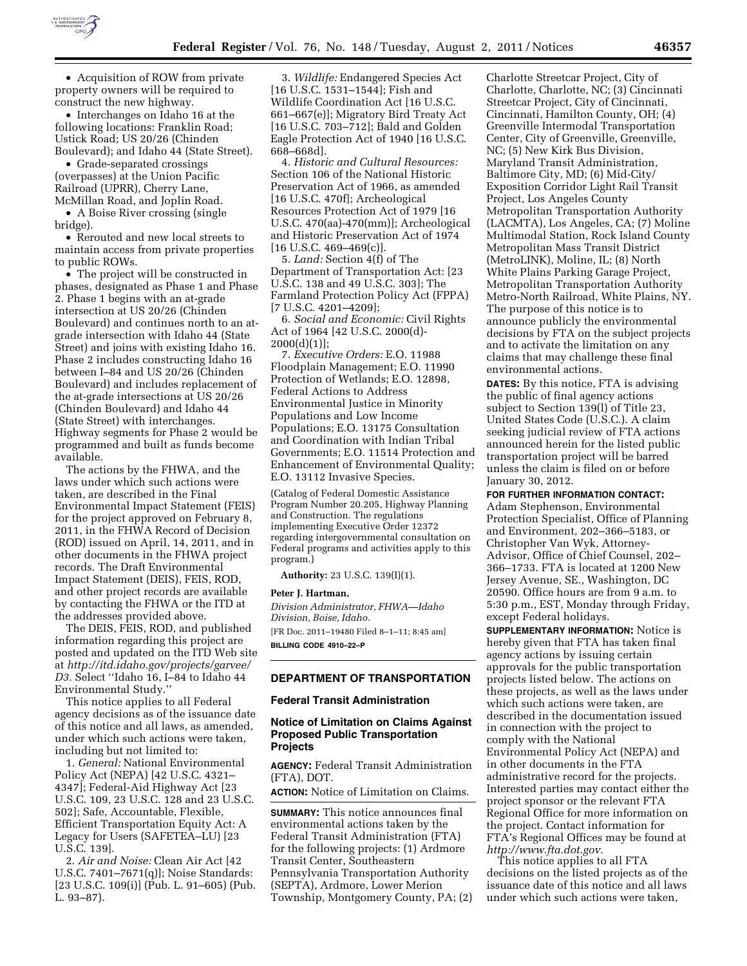

• Acquisition of ROW from private property owners will be required to construct the new highway.

• Interchanges on Idaho 16 at the following locations: Franklin Road; Ustick Road; US 20/26 (Chinden Boulevard); and Idaho 44 (State Street).

• Grade-separated crossings (overpasses) at the Union Pacific Railroad (UPRR), Cherry Lane, McMillan Road, and Joplin Road.

• A Boise River crossing (single bridge).

• Rerouted and new local streets to maintain access from private properties to public ROWs.

• The project will be constructed in phases, designated as Phase 1 and Phase 2. Phase 1 begins with an at-grade intersection at US 20/26 (Chinden Boulevard) and continues north to an atgrade intersection with Idaho 44 (State Street) and joins with existing Idaho 16. Phase 2 includes constructing Idaho 16 between I–84 and US 20/26 (Chinden Boulevard) and includes replacement of the at-grade intersections at US 20/26 (Chinden Boulevard) and Idaho 44 (State Street) with interchanges. Highway segments for Phase 2 would be programmed and built as funds become available.

The actions by the FHWA, and the laws under which such actions were taken, are described in the Final Environmental Impact Statement (FEIS) for the project approved on February 8, 2011, in the FHWA Record of Decision (ROD) issued on April, 14, 2011, and in other documents in the FHWA project records. The Draft Environmental Impact Statement (DEIS), FEIS, ROD, and other project records are available by contacting the FHWA or the ITD at the addresses provided above.

The DEIS, FEIS, ROD, and published information regarding this project are posted and updated on the ITD Web site at *[http://itd.idaho.gov/projects/garvee/](http://itd.idaho.gov/projects/garvee/D3) [D3.](http://itd.idaho.gov/projects/garvee/D3)* Select ''Idaho 16, I–84 to Idaho 44 Environmental Study.''

This notice applies to all Federal agency decisions as of the issuance date of this notice and all laws, as amended, under which such actions were taken, including but not limited to:

1. *General:* National Environmental Policy Act (NEPA) [42 U.S.C. 4321– 4347]; Federal-Aid Highway Act [23 U.S.C. 109, 23 U.S.C. 128 and 23 U.S.C. 502]; Safe, Accountable, Flexible, Efficient Transportation Equity Act: A Legacy for Users (SAFETEA–LU) [23 U.S.C. 139].

2. *Air and Noise:* Clean Air Act [42 U.S.C. 7401–7671(q)]; Noise Standards: [23 U.S.C. 109(i)] (Pub. L. 91–605) (Pub. L. 93–87).

3. *Wildlife:* Endangered Species Act [16 U.S.C. 1531–1544]; Fish and Wildlife Coordination Act [16 U.S.C. 661–667(e)]; Migratory Bird Treaty Act [16 U.S.C. 703–712]; Bald and Golden Eagle Protection Act of 1940 [16 U.S.C. 668–668d].

4. *Historic and Cultural Resources:*  Section 106 of the National Historic Preservation Act of 1966, as amended [16 U.S.C. 470f]; Archeological Resources Protection Act of 1979 [16 U.S.C. 470(aa)-470(mm)]; Archeological and Historic Preservation Act of 1974  $[16 \text{ U.S.C. } 469 - 469 \text{ (c)}]$ .

5. *Land:* Section 4(f) of The Department of Transportation Act: [23 U.S.C. 138 and 49 U.S.C. 303]; The Farmland Protection Policy Act (FPPA) [7 U.S.C. 4201–4209];

6. *Social and Economic:* Civil Rights Act of 1964 [42 U.S.C. 2000(d)-  $2000(d)(1)$ ];

7. *Executive Orders:* E.O. 11988 Floodplain Management; E.O. 11990 Protection of Wetlands; E.O. 12898, Federal Actions to Address Environmental Justice in Minority Populations and Low Income Populations; E.O. 13175 Consultation and Coordination with Indian Tribal Governments; E.O. 11514 Protection and Enhancement of Environmental Quality; E.O. 13112 Invasive Species.

(Catalog of Federal Domestic Assistance Program Number 20.205, Highway Planning and Construction. The regulations implementing Executive Order 12372 regarding intergovernmental consultation on Federal programs and activities apply to this program.)

**Authority:** 23 U.S.C. 139(I)(1).

### **Peter J. Hartman,**

*Division Administrator, FHWA—Idaho Division, Boise, Idaho.* 

[FR Doc. 2011–19480 Filed 8–1–11; 8:45 am] **BILLING CODE 4910–22–P** 

### **DEPARTMENT OF TRANSPORTATION**

#### **Federal Transit Administration**

# **Notice of Limitation on Claims Against Proposed Public Transportation Projects**

**AGENCY:** Federal Transit Administration (FTA), DOT.

**ACTION:** Notice of Limitation on Claims.

**SUMMARY:** This notice announces final environmental actions taken by the Federal Transit Administration (FTA) for the following projects: (1) Ardmore Transit Center, Southeastern Pennsylvania Transportation Authority (SEPTA), Ardmore, Lower Merion Township, Montgomery County, PA; (2) Charlotte Streetcar Project, City of Charlotte, Charlotte, NC; (3) Cincinnati Streetcar Project, City of Cincinnati, Cincinnati, Hamilton County, OH; (4) Greenville Intermodal Transportation Center, City of Greenville, Greenville, NC; (5) New Kirk Bus Division, Maryland Transit Administration, Baltimore City, MD; (6) Mid-City/ Exposition Corridor Light Rail Transit Project, Los Angeles County Metropolitan Transportation Authority (LACMTA), Los Angeles, CA; (7) Moline Multimodal Station, Rock Island County Metropolitan Mass Transit District (MetroLINK), Moline, IL; (8) North White Plains Parking Garage Project, Metropolitan Transportation Authority Metro-North Railroad, White Plains, NY. The purpose of this notice is to announce publicly the environmental decisions by FTA on the subject projects and to activate the limitation on any claims that may challenge these final environmental actions.

**DATES:** By this notice, FTA is advising the public of final agency actions subject to Section 139(l) of Title 23, United States Code (U.S.C.). A claim seeking judicial review of FTA actions announced herein for the listed public transportation project will be barred unless the claim is filed on or before January 30, 2012.

**FOR FURTHER INFORMATION CONTACT:** 

Adam Stephenson, Environmental Protection Specialist, Office of Planning and Environment, 202–366–5183, or Christopher Van Wyk, Attorney-Advisor, Office of Chief Counsel, 202– 366–1733. FTA is located at 1200 New Jersey Avenue, SE., Washington, DC 20590. Office hours are from 9 a.m. to 5:30 p.m., EST, Monday through Friday, except Federal holidays.

**SUPPLEMENTARY INFORMATION:** Notice is hereby given that FTA has taken final agency actions by issuing certain approvals for the public transportation projects listed below. The actions on these projects, as well as the laws under which such actions were taken, are described in the documentation issued in connection with the project to comply with the National Environmental Policy Act (NEPA) and in other documents in the FTA administrative record for the projects. Interested parties may contact either the project sponsor or the relevant FTA Regional Office for more information on the project. Contact information for FTA's Regional Offices may be found at *[http://www.fta.dot.gov.](http://www.fta.dot.gov)* 

This notice applies to all FTA decisions on the listed projects as of the issuance date of this notice and all laws under which such actions were taken,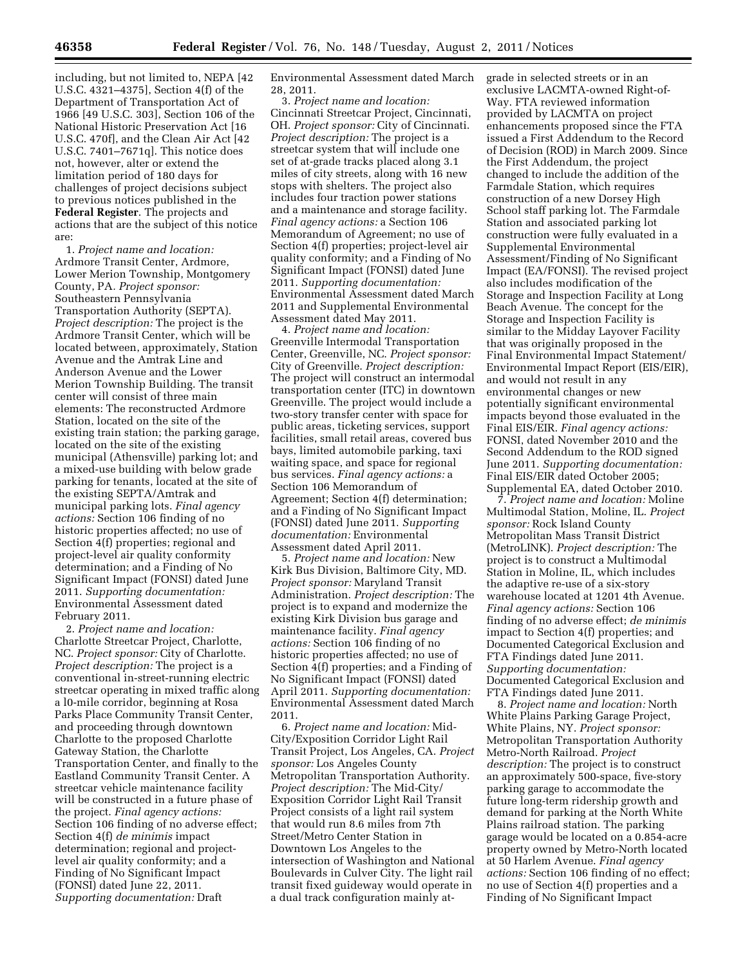including, but not limited to, NEPA [42 U.S.C. 4321–4375], Section 4(f) of the Department of Transportation Act of 1966 [49 U.S.C. 303], Section 106 of the National Historic Preservation Act [16 U.S.C. 470f], and the Clean Air Act [42 U.S.C. 7401–7671q]. This notice does not, however, alter or extend the limitation period of 180 days for challenges of project decisions subject to previous notices published in the **Federal Register**. The projects and actions that are the subject of this notice are:

1. *Project name and location:*  Ardmore Transit Center, Ardmore, Lower Merion Township, Montgomery County, PA*. Project sponsor:*  Southeastern Pennsylvania Transportation Authority (SEPTA). *Project description:* The project is the Ardmore Transit Center, which will be located between, approximately, Station Avenue and the Amtrak Line and Anderson Avenue and the Lower Merion Township Building. The transit center will consist of three main elements: The reconstructed Ardmore Station, located on the site of the existing train station; the parking garage, located on the site of the existing municipal (Athensville) parking lot; and a mixed-use building with below grade parking for tenants, located at the site of the existing SEPTA/Amtrak and municipal parking lots. *Final agency actions:* Section 106 finding of no historic properties affected; no use of Section 4(f) properties; regional and project-level air quality conformity determination; and a Finding of No Significant Impact (FONSI) dated June 2011. *Supporting documentation:*  Environmental Assessment dated February 2011.

2. *Project name and location:*  Charlotte Streetcar Project, Charlotte, NC. *Project sponsor:* City of Charlotte. *Project description:* The project is a conventional in-street-running electric streetcar operating in mixed traffic along a l0-mile corridor, beginning at Rosa Parks Place Community Transit Center, and proceeding through downtown Charlotte to the proposed Charlotte Gateway Station, the Charlotte Transportation Center, and finally to the Eastland Community Transit Center. A streetcar vehicle maintenance facility will be constructed in a future phase of the project. *Final agency actions:*  Section 106 finding of no adverse effect; Section 4(f) *de minimis* impact determination; regional and projectlevel air quality conformity; and a Finding of No Significant Impact (FONSI) dated June 22, 2011. *Supporting documentation:* Draft

Environmental Assessment dated March 28, 2011.

3. *Project name and location:*  Cincinnati Streetcar Project, Cincinnati, OH. *Project sponsor:* City of Cincinnati. *Project description:* The project is a streetcar system that will include one set of at-grade tracks placed along 3.1 miles of city streets, along with 16 new stops with shelters. The project also includes four traction power stations and a maintenance and storage facility. *Final agency actions:* a Section 106 Memorandum of Agreement; no use of Section 4(f) properties; project-level air quality conformity; and a Finding of No Significant Impact (FONSI) dated June 2011. *Supporting documentation:*  Environmental Assessment dated March 2011 and Supplemental Environmental Assessment dated May 2011.

4. *Project name and location:*  Greenville Intermodal Transportation Center, Greenville, NC. *Project sponsor:*  City of Greenville. *Project description:*  The project will construct an intermodal transportation center (ITC) in downtown Greenville. The project would include a two-story transfer center with space for public areas, ticketing services, support facilities, small retail areas, covered bus bays, limited automobile parking, taxi waiting space, and space for regional bus services. *Final agency actions:* a Section 106 Memorandum of Agreement; Section 4(f) determination; and a Finding of No Significant Impact (FONSI) dated June 2011. *Supporting documentation:* Environmental Assessment dated April 2011.

5. *Project name and location:* New Kirk Bus Division, Baltimore City, MD. *Project sponsor:* Maryland Transit Administration. *Project description:* The project is to expand and modernize the existing Kirk Division bus garage and maintenance facility. *Final agency actions:* Section 106 finding of no historic properties affected; no use of Section 4(f) properties; and a Finding of No Significant Impact (FONSI) dated April 2011. *Supporting documentation:*  Environmental Assessment dated March 2011.

6. *Project name and location:* Mid-City/Exposition Corridor Light Rail Transit Project, Los Angeles, CA. *Project sponsor:* Los Angeles County Metropolitan Transportation Authority. *Project description:* The Mid-City/ Exposition Corridor Light Rail Transit Project consists of a light rail system that would run 8.6 miles from 7th Street/Metro Center Station in Downtown Los Angeles to the intersection of Washington and National Boulevards in Culver City. The light rail transit fixed guideway would operate in a dual track configuration mainly atgrade in selected streets or in an exclusive LACMTA-owned Right-of-Way. FTA reviewed information provided by LACMTA on project enhancements proposed since the FTA issued a First Addendum to the Record of Decision (ROD) in March 2009. Since the First Addendum, the project changed to include the addition of the Farmdale Station, which requires construction of a new Dorsey High School staff parking lot. The Farmdale Station and associated parking lot construction were fully evaluated in a Supplemental Environmental Assessment/Finding of No Significant Impact (EA/FONSI). The revised project also includes modification of the Storage and Inspection Facility at Long Beach Avenue. The concept for the Storage and Inspection Facility is similar to the Midday Layover Facility that was originally proposed in the Final Environmental Impact Statement/ Environmental Impact Report (EIS/EIR), and would not result in any environmental changes or new potentially significant environmental impacts beyond those evaluated in the Final EIS/EIR. *Final agency actions:*  FONSI, dated November 2010 and the Second Addendum to the ROD signed June 2011. *Supporting documentation:*  Final EIS/EIR dated October 2005; Supplemental EA, dated October 2010.

7. *Project name and location:* Moline Multimodal Station, Moline, IL. *Project sponsor:* Rock Island County Metropolitan Mass Transit District (MetroLINK). *Project description:* The project is to construct a Multimodal Station in Moline, IL, which includes the adaptive re-use of a six-story warehouse located at 1201 4th Avenue. *Final agency actions:* Section 106 finding of no adverse effect; *de minimis*  impact to Section 4(f) properties; and Documented Categorical Exclusion and FTA Findings dated June 2011. *Supporting documentation:*  Documented Categorical Exclusion and FTA Findings dated June 2011.

8. *Project name and location:* North White Plains Parking Garage Project, White Plains, NY. *Project sponsor:*  Metropolitan Transportation Authority Metro-North Railroad. *Project description:* The project is to construct an approximately 500-space, five-story parking garage to accommodate the future long-term ridership growth and demand for parking at the North White Plains railroad station. The parking garage would be located on a 0.854-acre property owned by Metro-North located at 50 Harlem Avenue. *Final agency actions:* Section 106 finding of no effect; no use of Section 4(f) properties and a Finding of No Significant Impact